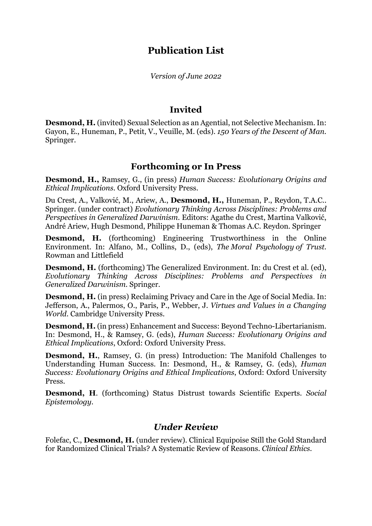# **Publication List**

*Version of June 2022*

# **Invited**

**Desmond, H.** (invited) Sexual Selection as an Agential, not Selective Mechanism. In: Gayon, E., Huneman, P., Petit, V., Veuille, M. (eds). *150 Years of the Descent of Man.*  Springer.

# **Forthcoming or In Press**

**Desmond, H.,** Ramsey, G., (in press) *Human Success: Evolutionary Origins and Ethical Implications.* Oxford University Press.

Du Crest, A., Valković, M., Ariew, A., **Desmond, H.,** Huneman, P., Reydon, T.A.C.. Springer. (under contract) *Evolutionary Thinking Across Disciplines: Problems and Perspectives in Generalized Darwinism*. Editors: Agathe du Crest, Martina Valković, André Ariew, Hugh Desmond, Philippe Huneman & Thomas A.C. Reydon. Springer

**Desmond, H.** (forthcoming) Engineering Trustworthiness in the Online Environment. In: Alfano, M., Collins, D., (eds), *The Moral Psychology of Trust.*  Rowman and Littlefield

**Desmond, H.** (forthcoming) The Generalized Environment. In: du Crest et al. (ed), *Evolutionary Thinking Across Disciplines: Problems and Perspectives in Generalized Darwinism.* Springer.

**Desmond, H.** (in press) Reclaiming Privacy and Care in the Age of Social Media. In: Jefferson, A., Palermos, O., Paris, P., Webber, J. *Virtues and Values in a Changing World.* Cambridge University Press.

**Desmond, H.** (in press) Enhancement and Success: Beyond Techno-Libertarianism. In: Desmond, H., & Ramsey, G. (eds), *Human Success: Evolutionary Origins and Ethical Implications*, Oxford: Oxford University Press.

**Desmond, H.**, Ramsey, G. (in press) Introduction: The Manifold Challenges to Understanding Human Success. In: Desmond, H., & Ramsey, G. (eds), *Human Success: Evolutionary Origins and Ethical Implications*, Oxford: Oxford University Press.

**Desmond, H**. (forthcoming) Status Distrust towards Scientific Experts. *Social Epistemology.* 

## *Under Review*

Folefac, C., **Desmond, H.** (under review). Clinical Equipoise Still the Gold Standard for Randomized Clinical Trials? A Systematic Review of Reasons. *Clinical Ethics.*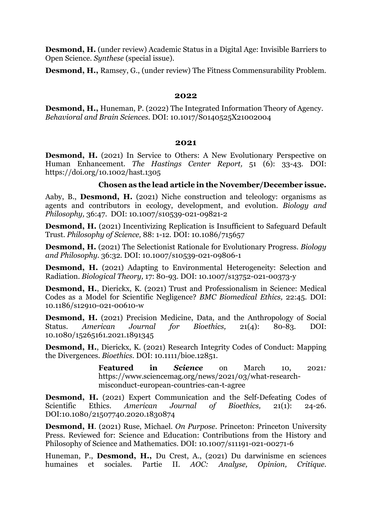**Desmond, H.** (under review) Academic Status in a Digital Age: Invisible Barriers to Open Science. *Synthese* (special issue).

**Desmond, H.,** Ramsey, G., (under review) The Fitness Commensurability Problem.

### **2022**

**Desmond, H.,** Huneman, P. (2022) The Integrated Information Theory of Agency. *Behavioral and Brain Sciences.* DOI: 10.1017/S0140525X21002004

### **2021**

**Desmond, H.** (2021) In Service to Others: A New Evolutionary Perspective on Human Enhancement. *The Hastings Center Report,* 51 (6): 33-43*.* DOI: https://doi.org/10.1002/hast.1305

## **Chosen as the lead article in the November/December issue.**

Aaby, B., **Desmond, H.** (2021) Niche construction and teleology: organisms as agents and contributors in ecology, development, and evolution. *Biology and Philosophy,* 36:47. DOI: 10.1007/s10539-021-09821-2

**Desmond, H.** (2021) Incentivizing Replication is Insufficient to Safeguard Default Trust. *Philosophy of Science,* 88: 1-12*.* DOI: 10.1086/715657

**Desmond, H.** (2021) The Selectionist Rationale for Evolutionary Progress. *Biology and Philosophy.* 36:32*.* DOI: 10.1007/s10539-021-09806-1

**Desmond, H.** (2021) Adapting to Environmental Heterogeneity: Selection and Radiation. *Biological Theory,* 17: 80-93. DOI: 10.1007/s13752-021-00373-y

**Desmond, H.**, Dierickx, K. (2021) Trust and Professionalism in Science: Medical Codes as a Model for Scientific Negligence? *BMC Biomedical Ethics,* 22:45. DOI: 10.1186/s12910-021-00610-w

**Desmond, H.** (2021) Precision Medicine, Data, and the Anthropology of Social Status. *American Journal for Bioethics,* 21(4): 80-83*.* DOI: 10.1080/15265161.2021.1891345

**Desmond, H.**, Dierickx, K. (2021) Research Integrity Codes of Conduct: Mapping the Divergences. *Bioethics.* DOI: 10.1111/bioe.12851.

> **Featured in** *Science* on March 10, 2021*:* https://www.sciencemag.org/news/2021/03/what-researchmisconduct-european-countries-can-t-agree

**Desmond, H.** (2021) Expert Communication and the Self-Defeating Codes of Scientific Ethics. *American Journal of Bioethics,* 21(1): 24-26*.*  DOI:10.1080/21507740.2020.1830874

**Desmond, H**. (2021) Ruse, Michael. *On Purpose.* Princeton: Princeton University Press. Reviewed for: Science and Education: Contributions from the History and Philosophy of Science and Mathematics. DOI: 10.1007/s11191-021-00271-6

Huneman, P., **Desmond, H.,** Du Crest, A., (2021) Du darwinisme en sciences humaines et sociales. Partie II. *AOC: Analyse, Opinion, Critique*.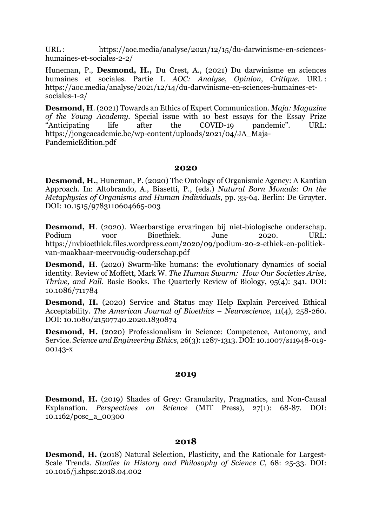URL : https://aoc.media/analyse/2021/12/15/du-darwinisme-en-scienceshumaines-et-sociales-2-2/

Huneman, P., **Desmond, H.,** Du Crest, A., (2021) Du darwinisme en sciences humaines et sociales. Partie I. *AOC: Analyse, Opinion, Critique*. URL : https://aoc.media/analyse/2021/12/14/du-darwinisme-en-sciences-humaines-etsociales-1-2/

**Desmond, H**. (2021) Towards an Ethics of Expert Communication. *Maja: Magazine of the Young Academy.* Special issue with 10 best essays for the Essay Prize "Anticipating life after the COVID-19 pandemic". URL: https://jongeacademie.be/wp-content/uploads/2021/04/JA\_Maja-PandemicEdition.pdf

#### **2020**

**Desmond, H.**, Huneman, P. (2020) The Ontology of Organismic Agency: A Kantian Approach. In: Altobrando, A., Biasetti, P., (eds.) *Natural Born Monads: On the Metaphysics of Organisms and Human Individuals*, pp. 33-64. Berlin: De Gruyter. DOI: 10.1515/9783110604665-003

**Desmond, H**. (2020). Weerbarstige ervaringen bij niet-biologische ouderschap. Podium voor Bioethiek. June 2020. URL: https://nvbioethiek.files.wordpress.com/2020/09/podium-20-2-ethiek-en-politiekvan-maakbaar-meervoudig-ouderschap.pdf

**Desmond, H.** (2020) Swarm-like humans: the evolutionary dynamics of social identity. Review of Moffett, Mark W. *The Human Swarm: How Our Societies Arise, Thrive, and Fall*. Basic Books. The Quarterly Review of Biology, 95(4): 341. DOI: 10.1086/711784

**Desmond, H.** (2020) Service and Status may Help Explain Perceived Ethical Acceptability. *The American Journal of Bioethics – Neuroscience*, 11(4), 258-260. DOI: 10.1080/21507740.2020.1830874

**Desmond, H.** (2020) Professionalism in Science: Competence, Autonomy, and Service. *Science and Engineering Ethics,* 26(3): 1287-1313*.* DOI: 10.1007/s11948-019- 00143-x

## **2019**

**Desmond, H.** (2019) Shades of Grey: Granularity, Pragmatics, and Non-Causal Explanation. *Perspectives on Science* (MIT Press), 27(1): 68-87*.* DOI: 10.1162/posc\_a\_00300

## **2018**

**Desmond, H.** (2018) Natural Selection, Plasticity, and the Rationale for Largest-Scale Trends. *Studies in History and Philosophy of Science C*, 68: 25-33. DOI: 10.1016/j.shpsc.2018.04.002